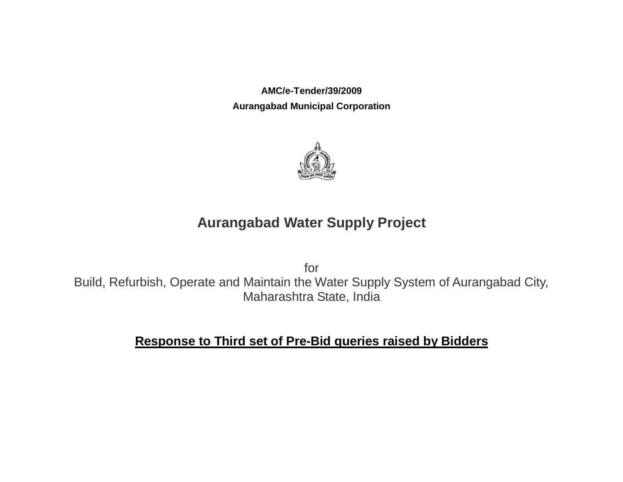**AMC/e-Tender/39/2009 Aurangabad Municipal Corporation**



## **Aurangabad Water Supply Project**

for Build, Refurbish, Operate and Maintain the Water Supply System of Aurangabad City, Maharashtra State, India

## **Response to Third set of Pre-Bid queries raised by Bidders**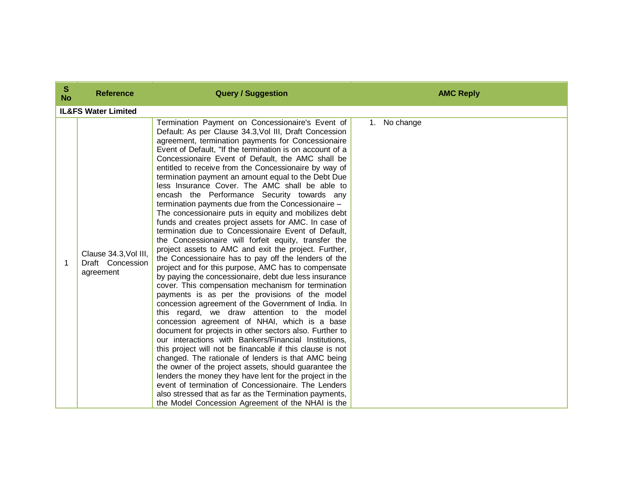| $\mathbf{s}$<br><b>No</b> | <b>Reference</b>                                       | <b>Query / Suggestion</b>                                                                                                                                                                                                                                                                                                                                                                                                                                                                                                                                                                                                                                                                                                                                                                                                                                                                                                                                                                                                                                                                                                                                                                                                                                                                                                                                                                                                                                                                                                                                                                                                                                                                                                                                                                                                | <b>AMC Reply</b> |
|---------------------------|--------------------------------------------------------|--------------------------------------------------------------------------------------------------------------------------------------------------------------------------------------------------------------------------------------------------------------------------------------------------------------------------------------------------------------------------------------------------------------------------------------------------------------------------------------------------------------------------------------------------------------------------------------------------------------------------------------------------------------------------------------------------------------------------------------------------------------------------------------------------------------------------------------------------------------------------------------------------------------------------------------------------------------------------------------------------------------------------------------------------------------------------------------------------------------------------------------------------------------------------------------------------------------------------------------------------------------------------------------------------------------------------------------------------------------------------------------------------------------------------------------------------------------------------------------------------------------------------------------------------------------------------------------------------------------------------------------------------------------------------------------------------------------------------------------------------------------------------------------------------------------------------|------------------|
|                           | <b>IL&amp;FS Water Limited</b>                         |                                                                                                                                                                                                                                                                                                                                                                                                                                                                                                                                                                                                                                                                                                                                                                                                                                                                                                                                                                                                                                                                                                                                                                                                                                                                                                                                                                                                                                                                                                                                                                                                                                                                                                                                                                                                                          |                  |
| 1                         | Clause 34.3, Vol III,<br>Draft Concession<br>agreement | Termination Payment on Concessionaire's Event of<br>Default: As per Clause 34.3, Vol III, Draft Concession<br>agreement, termination payments for Concessionaire<br>Event of Default, "If the termination is on account of a<br>Concessionaire Event of Default, the AMC shall be<br>entitled to receive from the Concessionaire by way of<br>termination payment an amount equal to the Debt Due<br>less Insurance Cover. The AMC shall be able to<br>encash the Performance Security towards any<br>termination payments due from the Concessionaire -<br>The concessionaire puts in equity and mobilizes debt<br>funds and creates project assets for AMC. In case of<br>termination due to Concessionaire Event of Default,<br>the Concessionaire will forfeit equity, transfer the<br>project assets to AMC and exit the project. Further,<br>the Concessionaire has to pay off the lenders of the<br>project and for this purpose, AMC has to compensate<br>by paying the concessionaire, debt due less insurance<br>cover. This compensation mechanism for termination<br>payments is as per the provisions of the model<br>concession agreement of the Government of India. In<br>this regard, we draw attention to the model<br>concession agreement of NHAI, which is a base<br>document for projects in other sectors also. Further to<br>our interactions with Bankers/Financial Institutions,<br>this project will not be financable if this clause is not<br>changed. The rationale of lenders is that AMC being<br>the owner of the project assets, should guarantee the<br>lenders the money they have lent for the project in the<br>event of termination of Concessionaire. The Lenders<br>also stressed that as far as the Termination payments,<br>the Model Concession Agreement of the NHAI is the | No change<br>1.  |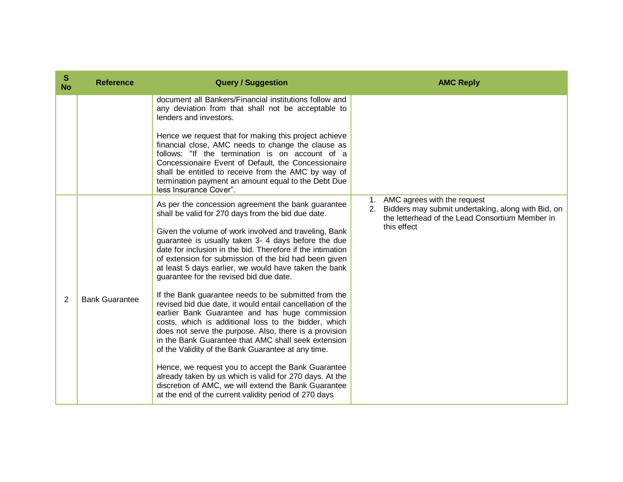| S<br><b>No</b> | <b>Reference</b>      | <b>Query / Suggestion</b>                                                                                                                                                                                                                                                                                                                                                                                                                                | <b>AMC Reply</b>                                                                                                                                             |
|----------------|-----------------------|----------------------------------------------------------------------------------------------------------------------------------------------------------------------------------------------------------------------------------------------------------------------------------------------------------------------------------------------------------------------------------------------------------------------------------------------------------|--------------------------------------------------------------------------------------------------------------------------------------------------------------|
|                |                       | document all Bankers/Financial institutions follow and<br>any deviation from that shall not be acceptable to<br>lenders and investors.                                                                                                                                                                                                                                                                                                                   |                                                                                                                                                              |
|                |                       | Hence we request that for making this project achieve<br>financial close, AMC needs to change the clause as<br>follows: "If the termination is on account of a<br>Concessionaire Event of Default, the Concessionaire<br>shall be entitled to receive from the AMC by way of<br>termination payment an amount equal to the Debt Due<br>less Insurance Cover".                                                                                            |                                                                                                                                                              |
|                |                       | As per the concession agreement the bank guarantee<br>shall be valid for 270 days from the bid due date.<br>Given the volume of work involved and traveling, Bank<br>guarantee is usually taken 3- 4 days before the due<br>date for inclusion in the bid. Therefore if the intimation<br>of extension for submission of the bid had been given<br>at least 5 days earlier, we would have taken the bank<br>guarantee for the revised bid due date.      | 1. AMC agrees with the request<br>Bidders may submit undertaking, along with Bid, on<br>2.<br>the letterhead of the Lead Consortium Member in<br>this effect |
| 2              | <b>Bank Guarantee</b> | If the Bank guarantee needs to be submitted from the<br>revised bid due date, it would entail cancellation of the<br>earlier Bank Guarantee and has huge commission<br>costs, which is additional loss to the bidder, which<br>does not serve the purpose. Also, there is a provision<br>in the Bank Guarantee that AMC shall seek extension<br>of the Validity of the Bank Guarantee at any time.<br>Hence, we request you to accept the Bank Guarantee |                                                                                                                                                              |
|                |                       | already taken by us which is valid for 270 days. At the<br>discretion of AMC, we will extend the Bank Guarantee<br>at the end of the current validity period of 270 days                                                                                                                                                                                                                                                                                 |                                                                                                                                                              |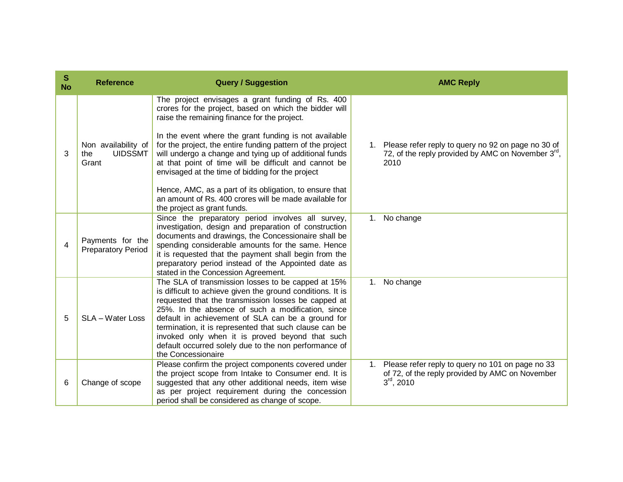| ${\bf S}$<br><b>No</b> | <b>Reference</b>                                      | <b>Query / Suggestion</b>                                                                                                                                                                                                                                                                                                                                                                                                                                                     | <b>AMC Reply</b>                                                                                                             |
|------------------------|-------------------------------------------------------|-------------------------------------------------------------------------------------------------------------------------------------------------------------------------------------------------------------------------------------------------------------------------------------------------------------------------------------------------------------------------------------------------------------------------------------------------------------------------------|------------------------------------------------------------------------------------------------------------------------------|
|                        |                                                       | The project envisages a grant funding of Rs. 400<br>crores for the project, based on which the bidder will<br>raise the remaining finance for the project.                                                                                                                                                                                                                                                                                                                    |                                                                                                                              |
| 3                      | Non availability of<br><b>UIDSSMT</b><br>the<br>Grant | In the event where the grant funding is not available<br>for the project, the entire funding pattern of the project<br>will undergo a change and tying up of additional funds<br>at that point of time will be difficult and cannot be<br>envisaged at the time of bidding for the project                                                                                                                                                                                    | Please refer reply to query no 92 on page no 30 of<br>72, of the reply provided by AMC on November $3^{\text{rd}}$ ,<br>2010 |
|                        |                                                       | Hence, AMC, as a part of its obligation, to ensure that<br>an amount of Rs. 400 crores will be made available for<br>the project as grant funds.                                                                                                                                                                                                                                                                                                                              |                                                                                                                              |
| 4                      | Payments for the<br><b>Preparatory Period</b>         | Since the preparatory period involves all survey,<br>investigation, design and preparation of construction<br>documents and drawings, the Concessionaire shall be<br>spending considerable amounts for the same. Hence<br>it is requested that the payment shall begin from the<br>preparatory period instead of the Appointed date as<br>stated in the Concession Agreement.                                                                                                 | 1. No change                                                                                                                 |
| 5                      | SLA - Water Loss                                      | The SLA of transmission losses to be capped at 15%<br>is difficult to achieve given the ground conditions. It is<br>requested that the transmission losses be capped at<br>25%. In the absence of such a modification, since<br>default in achievement of SLA can be a ground for<br>termination, it is represented that such clause can be<br>invoked only when it is proved beyond that such<br>default occurred solely due to the non performance of<br>the Concessionaire | 1. No change                                                                                                                 |
| 6                      | Change of scope                                       | Please confirm the project components covered under<br>the project scope from Intake to Consumer end. It is<br>suggested that any other additional needs, item wise<br>as per project requirement during the concession<br>period shall be considered as change of scope.                                                                                                                                                                                                     | Please refer reply to query no 101 on page no 33<br>1.<br>of 72, of the reply provided by AMC on November<br>$3rd$ , 2010    |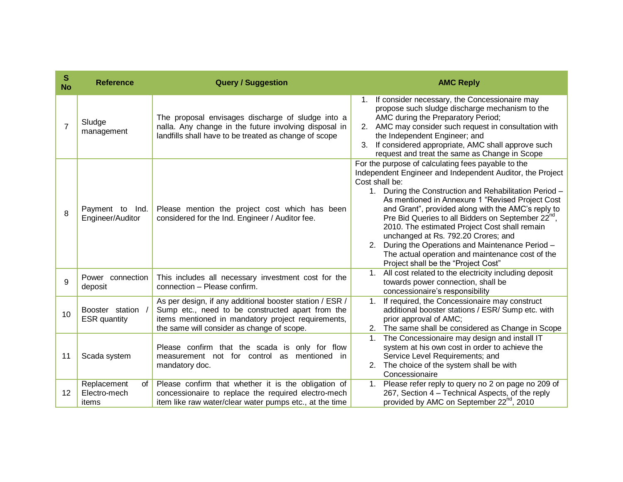| S<br><b>No</b> | <b>Reference</b>                           | <b>Query / Suggestion</b>                                                                                                                                                                                        | <b>AMC Reply</b>                                                                                                                                                                                                                                                                                                                                                                                                                                                                                                                                                                                                |
|----------------|--------------------------------------------|------------------------------------------------------------------------------------------------------------------------------------------------------------------------------------------------------------------|-----------------------------------------------------------------------------------------------------------------------------------------------------------------------------------------------------------------------------------------------------------------------------------------------------------------------------------------------------------------------------------------------------------------------------------------------------------------------------------------------------------------------------------------------------------------------------------------------------------------|
| $\overline{7}$ | Sludge<br>management                       | The proposal envisages discharge of sludge into a<br>nalla. Any change in the future involving disposal in<br>landfills shall have to be treated as change of scope                                              | If consider necessary, the Concessionaire may<br>propose such sludge discharge mechanism to the<br>AMC during the Preparatory Period;<br>2. AMC may consider such request in consultation with<br>the Independent Engineer; and<br>If considered appropriate, AMC shall approve such<br>3 <sub>1</sub><br>request and treat the same as Change in Scope                                                                                                                                                                                                                                                         |
| 8              | Payment to Ind.<br>Engineer/Auditor        | Please mention the project cost which has been<br>considered for the Ind. Engineer / Auditor fee.                                                                                                                | For the purpose of calculating fees payable to the<br>Independent Engineer and Independent Auditor, the Project<br>Cost shall be:<br>1. During the Construction and Rehabilitation Period -<br>As mentioned in Annexure 1 "Revised Project Cost<br>and Grant", provided along with the AMC's reply to<br>Pre Bid Queries to all Bidders on September 22 <sup>nd</sup> ,<br>2010. The estimated Project Cost shall remain<br>unchanged at Rs. 792.20 Crores; and<br>2. During the Operations and Maintenance Period -<br>The actual operation and maintenance cost of the<br>Project shall be the "Project Cost" |
| 9              | Power connection<br>deposit                | This includes all necessary investment cost for the<br>connection - Please confirm.                                                                                                                              | All cost related to the electricity including deposit<br>$1_{-}$<br>towards power connection, shall be<br>concessionaire's responsibility                                                                                                                                                                                                                                                                                                                                                                                                                                                                       |
| 10             | Booster station /<br><b>ESR</b> quantity   | As per design, if any additional booster station / ESR /<br>Sump etc., need to be constructed apart from the<br>items mentioned in mandatory project requirements,<br>the same will consider as change of scope. | If required, the Concessionaire may construct<br>$1_{\cdot}$<br>additional booster stations / ESR/ Sump etc. with<br>prior approval of AMC;<br>The same shall be considered as Change in Scope                                                                                                                                                                                                                                                                                                                                                                                                                  |
| 11             | Scada system                               | Please confirm that the scada is only for flow<br>measurement not for control as mentioned in<br>mandatory doc.                                                                                                  | The Concessionaire may design and install IT<br>1.<br>system at his own cost in order to achieve the<br>Service Level Requirements; and<br>The choice of the system shall be with<br>2.<br>Concessionaire                                                                                                                                                                                                                                                                                                                                                                                                       |
| 12             | Replacement<br>of<br>Electro-mech<br>items | Please confirm that whether it is the obligation of<br>concessionaire to replace the required electro-mech<br>item like raw water/clear water pumps etc., at the time                                            | 1. Please refer reply to query no 2 on page no 209 of<br>267, Section 4 - Technical Aspects, of the reply<br>provided by AMC on September 22 <sup>nd</sup> , 2010                                                                                                                                                                                                                                                                                                                                                                                                                                               |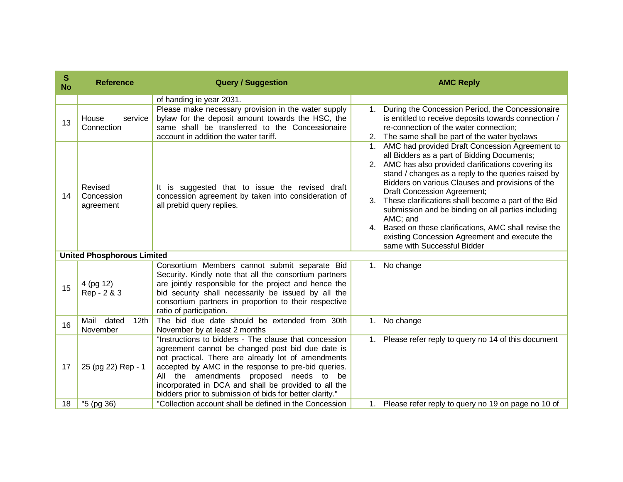| S<br><b>No</b> | <b>Reference</b>                              | <b>Query / Suggestion</b>                                                                                                                                                                                                                                                                                                                                                             |             | <b>AMC Reply</b>                                                                                                                                                                                                                                                                                                                                                                                                                                                                                                                                                   |
|----------------|-----------------------------------------------|---------------------------------------------------------------------------------------------------------------------------------------------------------------------------------------------------------------------------------------------------------------------------------------------------------------------------------------------------------------------------------------|-------------|--------------------------------------------------------------------------------------------------------------------------------------------------------------------------------------------------------------------------------------------------------------------------------------------------------------------------------------------------------------------------------------------------------------------------------------------------------------------------------------------------------------------------------------------------------------------|
|                |                                               | of handing ie year 2031.                                                                                                                                                                                                                                                                                                                                                              |             |                                                                                                                                                                                                                                                                                                                                                                                                                                                                                                                                                                    |
| 13             | House<br>service<br>Connection                | Please make necessary provision in the water supply<br>bylaw for the deposit amount towards the HSC, the<br>same shall be transferred to the Concessionaire<br>account in addition the water tariff.                                                                                                                                                                                  | $1_{\cdot}$ | During the Concession Period, the Concessionaire<br>is entitled to receive deposits towards connection /<br>re-connection of the water connection;<br>2. The same shall be part of the water byelaws                                                                                                                                                                                                                                                                                                                                                               |
| 14             | Revised<br>Concession<br>agreement            | It is suggested that to issue the revised draft<br>concession agreement by taken into consideration of<br>all prebid query replies.                                                                                                                                                                                                                                                   | 1.<br>3.    | AMC had provided Draft Concession Agreement to<br>all Bidders as a part of Bidding Documents;<br>2. AMC has also provided clarifications covering its<br>stand / changes as a reply to the queries raised by<br>Bidders on various Clauses and provisions of the<br>Draft Concession Agreement;<br>These clarifications shall become a part of the Bid<br>submission and be binding on all parties including<br>AMC; and<br>4. Based on these clarifications, AMC shall revise the<br>existing Concession Agreement and execute the<br>same with Successful Bidder |
|                | <b>United Phosphorous Limited</b>             |                                                                                                                                                                                                                                                                                                                                                                                       |             |                                                                                                                                                                                                                                                                                                                                                                                                                                                                                                                                                                    |
| 15             | 4 (pg 12)<br>Rep - 2 & 3                      | Consortium Members cannot submit separate Bid<br>Security. Kindly note that all the consortium partners<br>are jointly responsible for the project and hence the<br>bid security shall necessarily be issued by all the<br>consortium partners in proportion to their respective<br>ratio of participation.                                                                           | 1.          | No change                                                                                                                                                                                                                                                                                                                                                                                                                                                                                                                                                          |
| 16             | dated<br>Mail<br>12 <sub>th</sub><br>November | The bid due date should be extended from 30th<br>November by at least 2 months                                                                                                                                                                                                                                                                                                        | 1.          | No change                                                                                                                                                                                                                                                                                                                                                                                                                                                                                                                                                          |
| 17             | 25 (pg 22) Rep - 1                            | "Instructions to bidders - The clause that concession<br>agreement cannot be changed post bid due date is<br>not practical. There are already lot of amendments<br>accepted by AMC in the response to pre-bid queries.<br>All the amendments proposed needs to be<br>incorporated in DCA and shall be provided to all the<br>bidders prior to submission of bids for better clarity." |             | 1. Please refer reply to query no 14 of this document                                                                                                                                                                                                                                                                                                                                                                                                                                                                                                              |
| 18             | "5 (pg 36)                                    | "Collection account shall be defined in the Concession                                                                                                                                                                                                                                                                                                                                |             | 1. Please refer reply to query no 19 on page no 10 of                                                                                                                                                                                                                                                                                                                                                                                                                                                                                                              |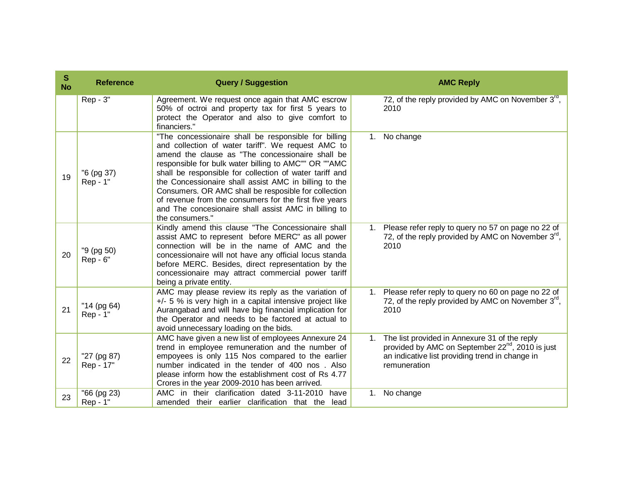| $\mathbf{s}$<br><b>No</b> | <b>Reference</b>         | <b>Query / Suggestion</b>                                                                                                                                                                                                                                                                                                                                                                                                                                                                                                               | <b>AMC Reply</b>                                                                                                                                                                                   |
|---------------------------|--------------------------|-----------------------------------------------------------------------------------------------------------------------------------------------------------------------------------------------------------------------------------------------------------------------------------------------------------------------------------------------------------------------------------------------------------------------------------------------------------------------------------------------------------------------------------------|----------------------------------------------------------------------------------------------------------------------------------------------------------------------------------------------------|
|                           | Rep - 3"                 | Agreement. We request once again that AMC escrow<br>50% of octroi and property tax for first 5 years to<br>protect the Operator and also to give comfort to<br>financiers."                                                                                                                                                                                                                                                                                                                                                             | 72, of the reply provided by AMC on November 3rd,<br>2010                                                                                                                                          |
| 19                        | "6 (pg 37)<br>Rep - 1"   | "The concessionaire shall be responsible for billing<br>and collection of water tariff". We request AMC to<br>amend the clause as "The concessionaire shall be<br>responsible for bulk water billing to AMC"" OR ""AMC<br>shall be responsible for collection of water tariff and<br>the Concessionaire shall assist AMC in billing to the<br>Consumers. OR AMC shall be resposible for collection<br>of revenue from the consumers for the first five years<br>and The concesionaire shall assist AMC in billing to<br>the consumers." | 1. No change                                                                                                                                                                                       |
| 20                        | "9 (pg 50)<br>Rep - 6"   | Kindly amend this clause "The Concessionaire shall<br>assist AMC to represent before MERC" as all power<br>connection will be in the name of AMC and the<br>concessionaire will not have any official locus standa<br>before MERC. Besides, direct representation by the<br>concessionaire may attract commercial power tariff<br>being a private entity.                                                                                                                                                                               | 1. Please refer reply to query no 57 on page no 22 of<br>72, of the reply provided by AMC on November $3^{\text{rd}}$ ,<br>2010                                                                    |
| 21                        | "14 (pg 64)<br>Rep - 1"  | AMC may please review its reply as the variation of<br>$+/-$ 5 % is very high in a capital intensive project like<br>Aurangabad and will have big financial implication for<br>the Operator and needs to be factored at actual to<br>avoid unnecessary loading on the bids.                                                                                                                                                                                                                                                             | Please refer reply to query no 60 on page no 22 of<br>1.<br>72, of the reply provided by AMC on November 3 <sup>rd</sup> ,<br>2010                                                                 |
| 22                        | "27 (pg 87)<br>Rep - 17" | AMC have given a new list of employees Annexure 24<br>trend in employee remuneration and the number of<br>empoyees is only 115 Nos compared to the earlier<br>number indicated in the tender of 400 nos. Also<br>please inform how the establishment cost of Rs 4.77<br>Crores in the year 2009-2010 has been arrived.                                                                                                                                                                                                                  | The list provided in Annexure 31 of the reply<br>1 <sub>1</sub><br>provided by AMC on September 22 <sup>nd</sup> , 2010 is just<br>an indicative list providing trend in change in<br>remuneration |
| 23                        | "66 (pg 23)<br>Rep - 1"  | AMC in their clarification dated 3-11-2010<br>have<br>amended their earlier clarification that the<br>lead                                                                                                                                                                                                                                                                                                                                                                                                                              | No change<br>1.                                                                                                                                                                                    |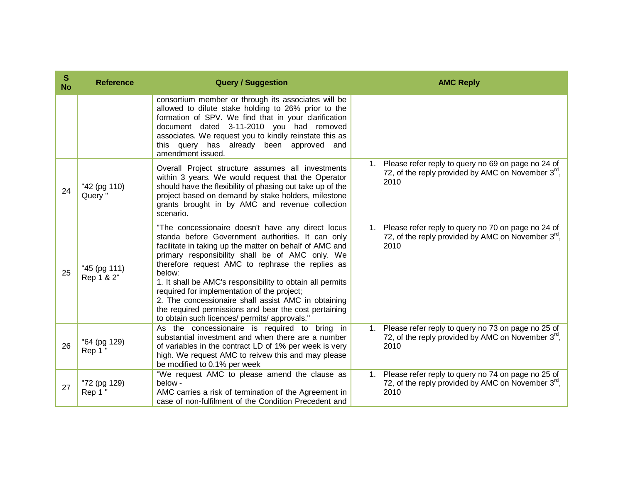| S<br><b>No</b> | <b>Reference</b>           | <b>Query / Suggestion</b>                                                                                                                                                                                                                                                                                                                                                                                                                                                                                                                                       |    | <b>AMC Reply</b>                                                                                                                |
|----------------|----------------------------|-----------------------------------------------------------------------------------------------------------------------------------------------------------------------------------------------------------------------------------------------------------------------------------------------------------------------------------------------------------------------------------------------------------------------------------------------------------------------------------------------------------------------------------------------------------------|----|---------------------------------------------------------------------------------------------------------------------------------|
|                |                            | consortium member or through its associates will be<br>allowed to dilute stake holding to 26% prior to the<br>formation of SPV. We find that in your clarification<br>document dated 3-11-2010 you had removed<br>associates. We request you to kindly reinstate this as<br>this query has already been approved<br>and<br>amendment issued.                                                                                                                                                                                                                    |    |                                                                                                                                 |
| 24             | "42 (pg 110)<br>Query "    | Overall Project structure assumes all investments<br>within 3 years. We would request that the Operator<br>should have the flexibility of phasing out take up of the<br>project based on demand by stake holders, milestone<br>grants brought in by AMC and revenue collection<br>scenario.                                                                                                                                                                                                                                                                     |    | Please refer reply to query no 69 on page no 24 of<br>72, of the reply provided by AMC on November $3^{\text{rd}}$ ,<br>2010    |
| 25             | "45 (pg 111)<br>Rep 1 & 2" | "The concessionaire doesn't have any direct locus<br>standa before Government authorities. It can only<br>facilitate in taking up the matter on behalf of AMC and<br>primary responsibility shall be of AMC only. We<br>therefore request AMC to rephrase the replies as<br>below:<br>1. It shall be AMC's responsibility to obtain all permits<br>required for implementation of the project;<br>2. The concessionaire shall assist AMC in obtaining<br>the required permissions and bear the cost pertaining<br>to obtain such licences/ permits/ approvals." |    | 1. Please refer reply to query no 70 on page no 24 of<br>72, of the reply provided by AMC on November 3 <sup>rd</sup> ,<br>2010 |
| 26             | "64 (pg 129)<br>Rep 1 "    | As the concessionaire is required to bring in<br>substantial investment and when there are a number<br>of variables in the contract LD of 1% per week is very<br>high. We request AMC to reivew this and may please<br>be modified to 0.1% per week                                                                                                                                                                                                                                                                                                             | 1. | Please refer reply to query no 73 on page no 25 of<br>72, of the reply provided by AMC on November $3^{\text{rd}}$ ,<br>2010    |
| 27             | "72 (pg 129)<br>Rep 1 "    | "We request AMC to please amend the clause as<br>below -<br>AMC carries a risk of termination of the Agreement in<br>case of non-fulfilment of the Condition Precedent and                                                                                                                                                                                                                                                                                                                                                                                      | 1. | Please refer reply to query no 74 on page no 25 of<br>72, of the reply provided by AMC on November $3^{rd}$ ,<br>2010           |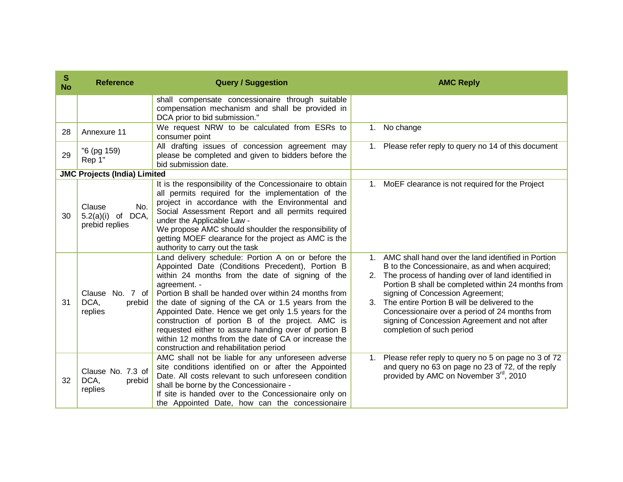| S<br><b>No</b> | <b>Reference</b>                                           | <b>Query / Suggestion</b>                                                                                                                                                                                                                                                                                                                                                                                                                                                                                                                                      | <b>AMC Reply</b>                                                                                                                                                                                                                                                                                                                                                                                                                                 |
|----------------|------------------------------------------------------------|----------------------------------------------------------------------------------------------------------------------------------------------------------------------------------------------------------------------------------------------------------------------------------------------------------------------------------------------------------------------------------------------------------------------------------------------------------------------------------------------------------------------------------------------------------------|--------------------------------------------------------------------------------------------------------------------------------------------------------------------------------------------------------------------------------------------------------------------------------------------------------------------------------------------------------------------------------------------------------------------------------------------------|
|                |                                                            | shall compensate concessionaire through suitable<br>compensation mechanism and shall be provided in<br>DCA prior to bid submission."                                                                                                                                                                                                                                                                                                                                                                                                                           |                                                                                                                                                                                                                                                                                                                                                                                                                                                  |
| 28             | Annexure 11                                                | We request NRW to be calculated from ESRs to<br>consumer point                                                                                                                                                                                                                                                                                                                                                                                                                                                                                                 | No change<br>$1_{\cdot}$                                                                                                                                                                                                                                                                                                                                                                                                                         |
| 29             | "6 (pg 159)<br>Rep 1"                                      | All drafting issues of concession agreement may<br>please be completed and given to bidders before the<br>bid submission date.                                                                                                                                                                                                                                                                                                                                                                                                                                 | 1. Please refer reply to query no 14 of this document                                                                                                                                                                                                                                                                                                                                                                                            |
|                | <b>JMC Projects (India) Limited</b>                        |                                                                                                                                                                                                                                                                                                                                                                                                                                                                                                                                                                |                                                                                                                                                                                                                                                                                                                                                                                                                                                  |
| 30             | Clause<br>No.<br>5.2(a)(i)<br>DCA,<br>of<br>prebid replies | It is the responsibility of the Concessionaire to obtain<br>all permits required for the implementation of the<br>project in accordance with the Environmental and<br>Social Assessment Report and all permits required<br>under the Applicable Law -<br>We propose AMC should shoulder the responsibility of<br>getting MOEF clearance for the project as AMC is the<br>authority to carry out the task                                                                                                                                                       | 1. MoEF clearance is not required for the Project                                                                                                                                                                                                                                                                                                                                                                                                |
| 31             | Clause No. 7 of<br>DCA,<br>prebid<br>replies               | Land delivery schedule: Portion A on or before the<br>Appointed Date (Conditions Precedent), Portion B<br>within 24 months from the date of signing of the<br>agreement. -<br>Portion B shall be handed over within 24 months from<br>the date of signing of the CA or 1.5 years from the<br>Appointed Date. Hence we get only 1.5 years for the<br>construction of portion B of the project. AMC is<br>requested either to assure handing over of portion B<br>within 12 months from the date of CA or increase the<br>construction and rehabilitation period | 1. AMC shall hand over the land identified in Portion<br>B to the Concessionaire, as and when acquired;<br>2. The process of handing over of land identified in<br>Portion B shall be completed within 24 months from<br>signing of Concession Agreement;<br>The entire Portion B will be delivered to the<br>3.<br>Concessionaire over a period of 24 months from<br>signing of Concession Agreement and not after<br>completion of such period |
| 32             | Clause No. 7.3 of<br>DCA,<br>prebid<br>replies             | AMC shall not be liable for any unforeseen adverse<br>site conditions identified on or after the Appointed<br>Date. All costs relevant to such unforeseen condition<br>shall be borne by the Concessionaire -<br>If site is handed over to the Concessionaire only on<br>the Appointed Date, how can the concessionaire                                                                                                                                                                                                                                        | Please refer reply to query no 5 on page no 3 of 72<br>$1_{\cdot}$<br>and query no 63 on page no 23 of 72, of the reply<br>provided by AMC on November 3 <sup>rd</sup> , 2010                                                                                                                                                                                                                                                                    |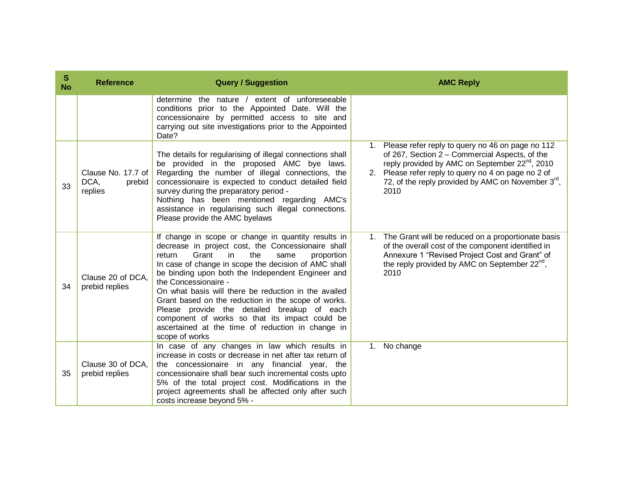| S<br><b>No</b> | <b>Reference</b>                                | <b>Query / Suggestion</b>                                                                                                                                                                                                                                                                                                                                                                                                                                                                                                                                                                   | <b>AMC Reply</b>                                                                                                                                                                                                                                                                                  |
|----------------|-------------------------------------------------|---------------------------------------------------------------------------------------------------------------------------------------------------------------------------------------------------------------------------------------------------------------------------------------------------------------------------------------------------------------------------------------------------------------------------------------------------------------------------------------------------------------------------------------------------------------------------------------------|---------------------------------------------------------------------------------------------------------------------------------------------------------------------------------------------------------------------------------------------------------------------------------------------------|
|                |                                                 | determine the nature / extent of unforeseeable<br>conditions prior to the Appointed Date. Will the<br>concessionaire by permitted access to site and<br>carrying out site investigations prior to the Appointed<br>Date?                                                                                                                                                                                                                                                                                                                                                                    |                                                                                                                                                                                                                                                                                                   |
| 33             | Clause No. 17.7 of<br>DCA,<br>prebid<br>replies | The details for regularising of illegal connections shall<br>be provided in the proposed AMC bye laws.<br>Regarding the number of illegal connections, the<br>concessionaire is expected to conduct detailed field<br>survey during the preparatory period -<br>Nothing has been mentioned regarding AMC's<br>assistance in regularising such illegal connections.<br>Please provide the AMC byelaws                                                                                                                                                                                        | Please refer reply to query no 46 on page no 112<br>of 267, Section 2 - Commercial Aspects, of the<br>reply provided by AMC on September 22 <sup>nd</sup> , 2010<br>2. Please refer reply to query no 4 on page no 2 of<br>72, of the reply provided by AMC on November $3^{\text{rd}}$ ,<br>2010 |
| 34             | Clause 20 of DCA,<br>prebid replies             | If change in scope or change in quantity results in<br>decrease in project cost, the Concessionaire shall<br>Grant<br>in<br>the<br>return<br>same<br>proportion<br>In case of change in scope the decision of AMC shall<br>be binding upon both the Independent Engineer and<br>the Concessionaire -<br>On what basis will there be reduction in the availed<br>Grant based on the reduction in the scope of works.<br>Please provide the detailed breakup of each<br>component of works so that its impact could be<br>ascertained at the time of reduction in change in<br>scope of works | 1. The Grant will be reduced on a proportionate basis<br>of the overall cost of the component identified in<br>Annexure 1 "Revised Project Cost and Grant" of<br>the reply provided by AMC on September 22 <sup>nd</sup> ,<br>2010                                                                |
| 35             | Clause 30 of DCA,<br>prebid replies             | In case of any changes in law which results in<br>increase in costs or decrease in net after tax return of<br>the concessionaire in any financial year, the<br>concessionaire shall bear such incremental costs upto<br>5% of the total project cost. Modifications in the<br>project agreements shall be affected only after such<br>costs increase beyond 5% -                                                                                                                                                                                                                            | 1. No change                                                                                                                                                                                                                                                                                      |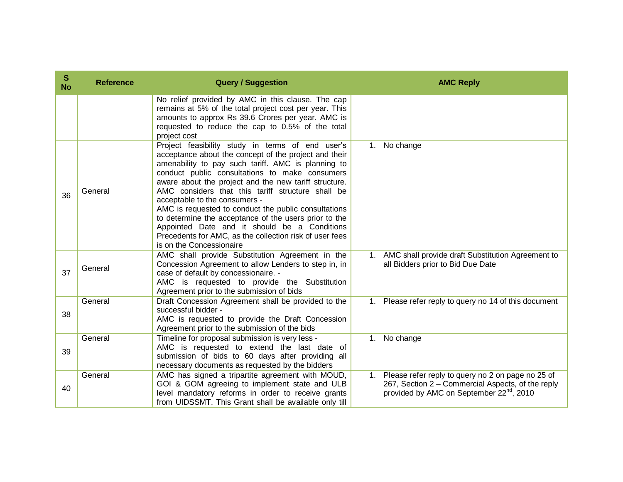| S<br><b>No</b> | <b>Reference</b> | <b>Query / Suggestion</b>                                                                                                                                                                                                                                                                                                                                                                                                                                                                                                                                                                                                |    | <b>AMC Reply</b>                                                                                                                                                  |
|----------------|------------------|--------------------------------------------------------------------------------------------------------------------------------------------------------------------------------------------------------------------------------------------------------------------------------------------------------------------------------------------------------------------------------------------------------------------------------------------------------------------------------------------------------------------------------------------------------------------------------------------------------------------------|----|-------------------------------------------------------------------------------------------------------------------------------------------------------------------|
|                |                  | No relief provided by AMC in this clause. The cap<br>remains at 5% of the total project cost per year. This<br>amounts to approx Rs 39.6 Crores per year. AMC is<br>requested to reduce the cap to 0.5% of the total<br>project cost                                                                                                                                                                                                                                                                                                                                                                                     |    |                                                                                                                                                                   |
| 36             | General          | Project feasibility study in terms of end user's<br>acceptance about the concept of the project and their<br>amenability to pay such tariff. AMC is planning to<br>conduct public consultations to make consumers<br>aware about the project and the new tariff structure.<br>AMC considers that this tariff structure shall be<br>acceptable to the consumers -<br>AMC is requested to conduct the public consultations<br>to determine the acceptance of the users prior to the<br>Appointed Date and it should be a Conditions<br>Precedents for AMC, as the collection risk of user fees<br>is on the Concessionaire | 1. | No change                                                                                                                                                         |
| 37             | General          | AMC shall provide Substitution Agreement in the<br>Concession Agreement to allow Lenders to step in, in<br>case of default by concessionaire. -<br>AMC is requested to provide the Substitution<br>Agreement prior to the submission of bids                                                                                                                                                                                                                                                                                                                                                                             |    | 1. AMC shall provide draft Substitution Agreement to<br>all Bidders prior to Bid Due Date                                                                         |
| 38             | General          | Draft Concession Agreement shall be provided to the<br>successful bidder -<br>AMC is requested to provide the Draft Concession<br>Agreement prior to the submission of the bids                                                                                                                                                                                                                                                                                                                                                                                                                                          | 1. | Please refer reply to query no 14 of this document                                                                                                                |
| 39             | General          | Timeline for proposal submission is very less -<br>AMC is requested to extend the last date of<br>submission of bids to 60 days after providing all<br>necessary documents as requested by the bidders                                                                                                                                                                                                                                                                                                                                                                                                                   | 1. | No change                                                                                                                                                         |
| 40             | General          | AMC has signed a tripartite agreement with MOUD,<br>GOI & GOM agreeing to implement state and ULB<br>level mandatory reforms in order to receive grants<br>from UIDSSMT. This Grant shall be available only till                                                                                                                                                                                                                                                                                                                                                                                                         |    | 1. Please refer reply to query no 2 on page no 25 of<br>267, Section 2 - Commercial Aspects, of the reply<br>provided by AMC on September 22 <sup>nd</sup> , 2010 |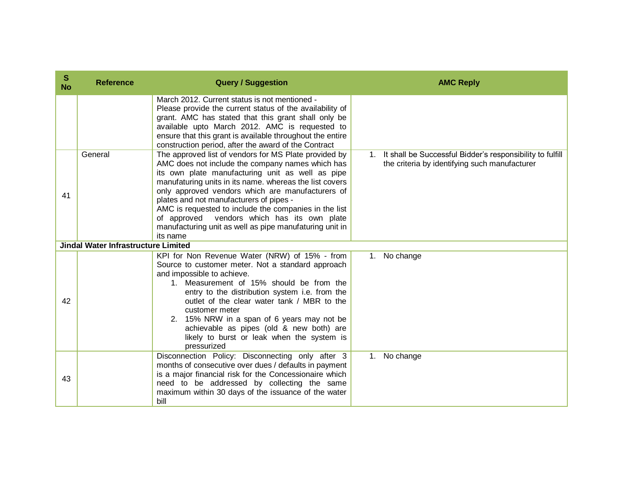| S<br><b>No</b> | <b>Reference</b>                           | <b>Query / Suggestion</b>                                                                                                                                                                                                                                                                                                                                                                                                                                                                              | <b>AMC Reply</b>                                                                                                          |
|----------------|--------------------------------------------|--------------------------------------------------------------------------------------------------------------------------------------------------------------------------------------------------------------------------------------------------------------------------------------------------------------------------------------------------------------------------------------------------------------------------------------------------------------------------------------------------------|---------------------------------------------------------------------------------------------------------------------------|
|                |                                            | March 2012. Current status is not mentioned -<br>Please provide the current status of the availability of<br>grant. AMC has stated that this grant shall only be<br>available upto March 2012. AMC is requested to<br>ensure that this grant is available throughout the entire<br>construction period, after the award of the Contract                                                                                                                                                                |                                                                                                                           |
| 41             | General                                    | The approved list of vendors for MS Plate provided by<br>AMC does not include the company names which has<br>its own plate manufacturing unit as well as pipe<br>manufaturing units in its name. whereas the list covers<br>only approved vendors which are manufacturers of<br>plates and not manufacturers of pipes -<br>AMC is requested to include the companies in the list<br>of approved vendors which has its own plate<br>manufacturing unit as well as pipe manufaturing unit in<br>its name | It shall be Successful Bidder's responsibility to fulfill<br>$1_{\cdot}$<br>the criteria by identifying such manufacturer |
|                | <b>Jindal Water Infrastructure Limited</b> |                                                                                                                                                                                                                                                                                                                                                                                                                                                                                                        |                                                                                                                           |
| 42             |                                            | KPI for Non Revenue Water (NRW) of 15% - from<br>Source to customer meter. Not a standard approach<br>and impossible to achieve.<br>1. Measurement of 15% should be from the<br>entry to the distribution system i.e. from the<br>outlet of the clear water tank / MBR to the<br>customer meter<br>2. 15% NRW in a span of 6 years may not be<br>achievable as pipes (old & new both) are<br>likely to burst or leak when the system is<br>pressurized                                                 | 1. No change                                                                                                              |
| 43             |                                            | Disconnection Policy: Disconnecting only after 3<br>months of consecutive over dues / defaults in payment<br>is a major financial risk for the Concessionaire which<br>need to be addressed by collecting the same<br>maximum within 30 days of the issuance of the water<br>bill                                                                                                                                                                                                                      | No change<br>$1_{\cdot}$                                                                                                  |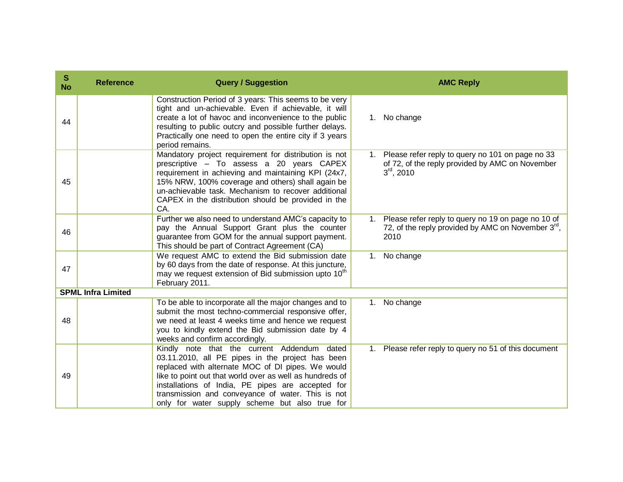| S<br><b>No</b> | <b>Reference</b>          | <b>Query / Suggestion</b>                                                                                                                                                                                                                                                                                                                                                    | <b>AMC Reply</b>                                                                                                                   |
|----------------|---------------------------|------------------------------------------------------------------------------------------------------------------------------------------------------------------------------------------------------------------------------------------------------------------------------------------------------------------------------------------------------------------------------|------------------------------------------------------------------------------------------------------------------------------------|
| 44             |                           | Construction Period of 3 years: This seems to be very<br>tight and un-achievable. Even if achievable, it will<br>create a lot of havoc and inconvenience to the public<br>resulting to public outcry and possible further delays.<br>Practically one need to open the entire city if 3 years<br>period remains.                                                              | No change<br>1.                                                                                                                    |
| 45             |                           | Mandatory project requirement for distribution is not<br>prescriptive - To assess a 20 years CAPEX<br>requirement in achieving and maintaining KPI (24x7,<br>15% NRW, 100% coverage and others) shall again be<br>un-achievable task. Mechanism to recover additional<br>CAPEX in the distribution should be provided in the<br>CA.                                          | Please refer reply to query no 101 on page no 33<br>1.<br>of 72, of the reply provided by AMC on November<br>$3rd$ , 2010          |
| 46             |                           | Further we also need to understand AMC's capacity to<br>pay the Annual Support Grant plus the counter<br>guarantee from GOM for the annual support payment.<br>This should be part of Contract Agreement (CA)                                                                                                                                                                | Please refer reply to query no 19 on page no 10 of<br>1.<br>72, of the reply provided by AMC on November $3^{\text{rd}}$ ,<br>2010 |
| 47             |                           | We request AMC to extend the Bid submission date<br>by 60 days from the date of response. At this juncture,<br>may we request extension of Bid submission upto 10 <sup>th</sup><br>February 2011.                                                                                                                                                                            | No change<br>1.                                                                                                                    |
|                | <b>SPML Infra Limited</b> |                                                                                                                                                                                                                                                                                                                                                                              |                                                                                                                                    |
| 48             |                           | To be able to incorporate all the major changes and to<br>submit the most techno-commercial responsive offer,<br>we need at least 4 weeks time and hence we request<br>you to kindly extend the Bid submission date by 4<br>weeks and confirm accordingly.                                                                                                                   | No change<br>1.                                                                                                                    |
| 49             |                           | Kindly note that the current Addendum dated<br>03.11.2010, all PE pipes in the project has been<br>replaced with alternate MOC of DI pipes. We would<br>like to point out that world over as well as hundreds of<br>installations of India, PE pipes are accepted for<br>transmission and conveyance of water. This is not<br>only for water supply scheme but also true for | Please refer reply to query no 51 of this document<br>$1_{\cdot}$                                                                  |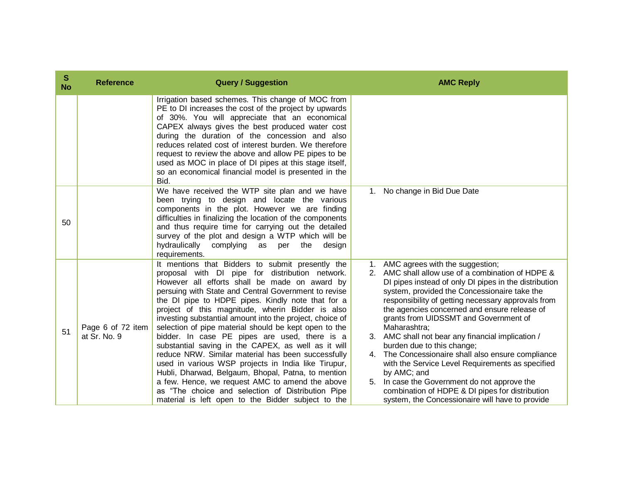| S<br><b>No</b> | <b>Reference</b>                  | <b>Query / Suggestion</b>                                                                                                                                                                                                                                                                                                                                                                                                                                                                                                                                                                                                                                                                                                                                                                                                                                                           |    | <b>AMC Reply</b>                                                                                                                                                                                                                                                                                                                                                                                                                                                                                                                                                                                                                                                                                                                  |
|----------------|-----------------------------------|-------------------------------------------------------------------------------------------------------------------------------------------------------------------------------------------------------------------------------------------------------------------------------------------------------------------------------------------------------------------------------------------------------------------------------------------------------------------------------------------------------------------------------------------------------------------------------------------------------------------------------------------------------------------------------------------------------------------------------------------------------------------------------------------------------------------------------------------------------------------------------------|----|-----------------------------------------------------------------------------------------------------------------------------------------------------------------------------------------------------------------------------------------------------------------------------------------------------------------------------------------------------------------------------------------------------------------------------------------------------------------------------------------------------------------------------------------------------------------------------------------------------------------------------------------------------------------------------------------------------------------------------------|
|                |                                   | Irrigation based schemes. This change of MOC from<br>PE to DI increases the cost of the project by upwards<br>of 30%. You will appreciate that an economical<br>CAPEX always gives the best produced water cost<br>during the duration of the concession and also<br>reduces related cost of interest burden. We therefore<br>request to review the above and allow PE pipes to be<br>used as MOC in place of DI pipes at this stage itself,<br>so an economical financial model is presented in the<br>Bid.                                                                                                                                                                                                                                                                                                                                                                        |    |                                                                                                                                                                                                                                                                                                                                                                                                                                                                                                                                                                                                                                                                                                                                   |
| 50             |                                   | We have received the WTP site plan and we have<br>been trying to design and locate the various<br>components in the plot. However we are finding<br>difficulties in finalizing the location of the components<br>and thus require time for carrying out the detailed<br>survey of the plot and design a WTP which will be<br>hydraulically complying<br>the<br>as<br>per<br>design<br>requirements.                                                                                                                                                                                                                                                                                                                                                                                                                                                                                 | 1. | No change in Bid Due Date                                                                                                                                                                                                                                                                                                                                                                                                                                                                                                                                                                                                                                                                                                         |
| 51             | Page 6 of 72 item<br>at Sr. No. 9 | It mentions that Bidders to submit presently the<br>proposal with DI pipe for distribution network.<br>However all efforts shall be made on award by<br>persuing with State and Central Government to revise<br>the DI pipe to HDPE pipes. Kindly note that for a<br>project of this magnitude, wherin Bidder is also<br>investing substantial amount into the project, choice of<br>selection of pipe material should be kept open to the<br>bidder. In case PE pipes are used, there is a<br>substantial saving in the CAPEX, as well as it will<br>reduce NRW. Similar material has been successfully<br>used in various WSP projects in India like Tirupur,<br>Hubli, Dharwad, Belgaum, Bhopal, Patna, to mention<br>a few. Hence, we request AMC to amend the above<br>as "The choice and selection of Distribution Pipe<br>material is left open to the Bidder subject to the |    | 1. AMC agrees with the suggestion;<br>2. AMC shall allow use of a combination of HDPE &<br>DI pipes instead of only DI pipes in the distribution<br>system, provided the Concessionaire take the<br>responsibility of getting necessary approvals from<br>the agencies concerned and ensure release of<br>grants from UIDSSMT and Government of<br>Maharashtra;<br>3. AMC shall not bear any financial implication /<br>burden due to this change;<br>4. The Concessionaire shall also ensure compliance<br>with the Service Level Requirements as specified<br>by AMC; and<br>5. In case the Government do not approve the<br>combination of HDPE & DI pipes for distribution<br>system, the Concessionaire will have to provide |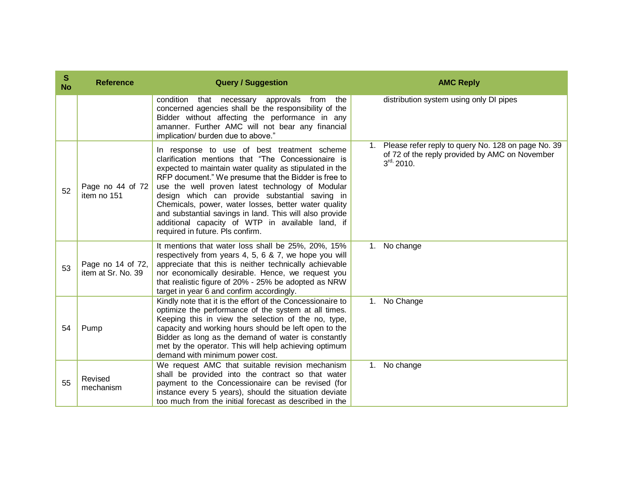| S<br><b>No</b> | <b>Reference</b>                        | <b>Query / Suggestion</b>                                                                                                                                                                                                                                                                                                                                                                                                                                                                                                             | <b>AMC Reply</b>                                                                                                                |
|----------------|-----------------------------------------|---------------------------------------------------------------------------------------------------------------------------------------------------------------------------------------------------------------------------------------------------------------------------------------------------------------------------------------------------------------------------------------------------------------------------------------------------------------------------------------------------------------------------------------|---------------------------------------------------------------------------------------------------------------------------------|
|                |                                         | condition<br>that necessary approvals from<br>the<br>concerned agencies shall be the responsibility of the<br>Bidder without affecting the performance in any<br>amanner. Further AMC will not bear any financial<br>implication/ burden due to above."                                                                                                                                                                                                                                                                               | distribution system using only DI pipes                                                                                         |
| 52             | Page no 44 of 72<br>item no 151         | In response to use of best treatment scheme<br>clarification mentions that "The Concessionaire is<br>expected to maintain water quality as stipulated in the<br>RFP document." We presume that the Bidder is free to<br>use the well proven latest technology of Modular<br>design which can provide substantial saving in<br>Chemicals, power, water losses, better water quality<br>and substantial savings in land. This will also provide<br>additional capacity of WTP in available land, if<br>required in future. Pls confirm. | Please refer reply to query No. 128 on page No. 39<br>of 72 of the reply provided by AMC on November<br>$3^{\text{rd}}$ , 2010. |
| 53             | Page no 14 of 72,<br>item at Sr. No. 39 | It mentions that water loss shall be 25%, 20%, 15%<br>respectively from years 4, 5, 6 & 7, we hope you will<br>appreciate that this is neither technically achievable<br>nor economically desirable. Hence, we request you<br>that realistic figure of 20% - 25% be adopted as NRW<br>target in year 6 and confirm accordingly.                                                                                                                                                                                                       | No change<br>1.                                                                                                                 |
| 54             | Pump                                    | Kindly note that it is the effort of the Concessionaire to<br>optimize the performance of the system at all times.<br>Keeping this in view the selection of the no, type,<br>capacity and working hours should be left open to the<br>Bidder as long as the demand of water is constantly<br>met by the operator. This will help achieving optimum<br>demand with minimum power cost.                                                                                                                                                 | No Change<br>$1_{\cdot}$                                                                                                        |
| 55             | Revised<br>mechanism                    | We request AMC that suitable revision mechanism<br>shall be provided into the contract so that water<br>payment to the Concessionaire can be revised (for<br>instance every 5 years), should the situation deviate<br>too much from the initial forecast as described in the                                                                                                                                                                                                                                                          | No change<br>$1_{\cdot}$                                                                                                        |